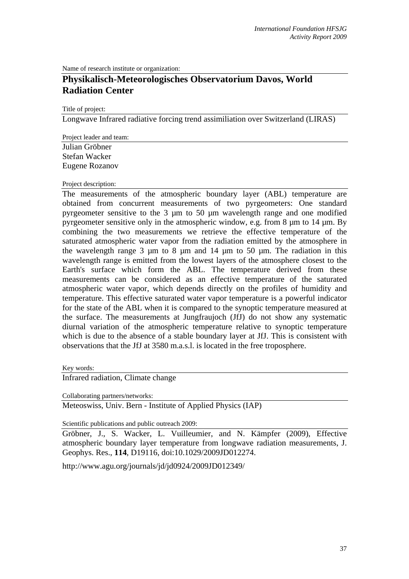Name of research institute or organization:

## **Physikalisch-Meteorologisches Observatorium Davos, World Radiation Center**

Title of project:

Longwave Infrared radiative forcing trend assimiliation over Switzerland (LIRAS)

Project leader and team:

Julian Gröbner Stefan Wacker Eugene Rozanov

## Project description:

The measurements of the atmospheric boundary layer (ABL) temperature are obtained from concurrent measurements of two pyrgeometers: One standard pyrgeometer sensitive to the 3 µm to 50 µm wavelength range and one modified pyrgeometer sensitive only in the atmospheric window, e.g. from 8 µm to 14 µm. By combining the two measurements we retrieve the effective temperature of the saturated atmospheric water vapor from the radiation emitted by the atmosphere in the wavelength range  $3 \mu m$  to  $8 \mu m$  and  $14 \mu m$  to  $50 \mu m$ . The radiation in this wavelength range is emitted from the lowest layers of the atmosphere closest to the Earth's surface which form the ABL. The temperature derived from these measurements can be considered as an effective temperature of the saturated atmospheric water vapor, which depends directly on the profiles of humidity and temperature. This effective saturated water vapor temperature is a powerful indicator for the state of the ABL when it is compared to the synoptic temperature measured at the surface. The measurements at Jungfraujoch (JfJ) do not show any systematic diurnal variation of the atmospheric temperature relative to synoptic temperature which is due to the absence of a stable boundary layer at JfJ. This is consistent with observations that the JfJ at 3580 m.a.s.l. is located in the free troposphere.

Key words:

Infrared radiation, Climate change

Collaborating partners/networks:

Meteoswiss, Univ. Bern - Institute of Applied Physics (IAP)

Scientific publications and public outreach 2009:

Gröbner, J., S. Wacker, L. Vuilleumier, and N. Kämpfer (2009), Effective atmospheric boundary layer temperature from longwave radiation measurements, J. Geophys. Res., **114**, D19116, doi:10.1029/2009JD012274.

http://www.agu.org/journals/jd/jd0924/2009JD012349/